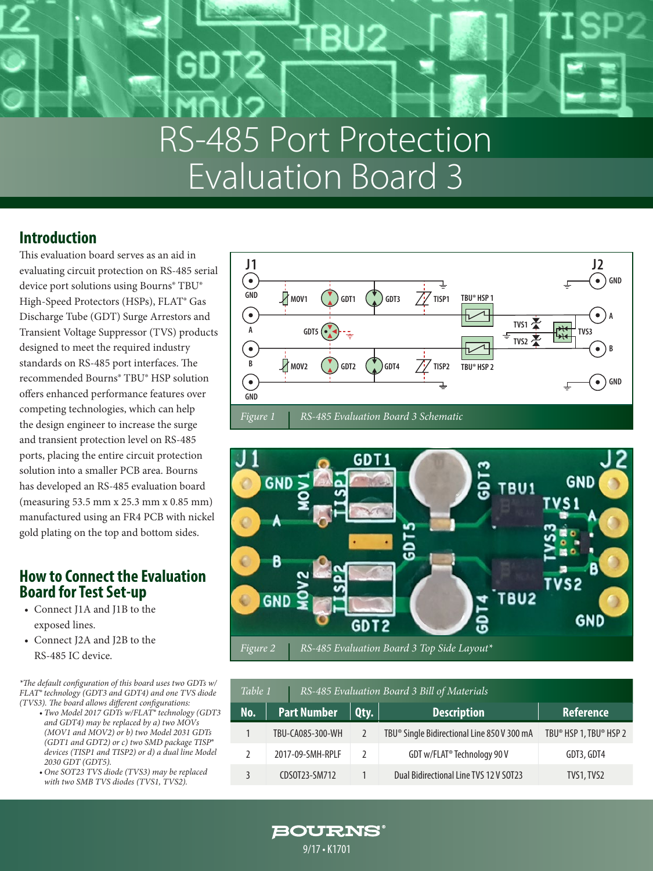# RS-485 Port Protection Evaluation Board 3

### **Introduction**

This evaluation board serves as an aid in evaluating circuit protection on RS-485 serial device port solutions using Bourns® TBU® High-Speed Protectors (HSPs), FLAT® Gas Discharge Tube (GDT) Surge Arrestors and Transient Voltage Suppressor (TVS) products designed to meet the required industry standards on RS-485 port interfaces. The recommended Bourns® TBU® HSP solution offers enhanced performance features over competing technologies, which can help the design engineer to increase the surge and transient protection level on RS-485 ports, placing the entire circuit protection solution into a smaller PCB area. Bourns has developed an RS-485 evaluation board (measuring 53.5 mm x 25.3 mm x 0.85 mm) manufactured using an FR4 PCB with nickel gold plating on the top and bottom sides.

### **How to Connect the Evaluation Board for Test Set-up**

- Connect J1A and J1B to the exposed lines.
- Connect J2A and J2B to the RS-485 IC device.

*\*The default configuration of this board uses two GDTs w/ FLAT® technology (GDT3 and GDT4) and one TVS diode (TVS3). The board allows different configurations:* 

- *• Two Model 2017 GDTs w/FLAT® technology (GDT3 and GDT4) may be replaced by a) two MOVs (MOV1 and MOV2) or b) two Model 2031 GDTs (GDT1 and GDT2) or c) two SMD package TISP® devices (TISP1 and TISP2) or d) a dual line Model 2030 GDT (GDT5).*
- *• One SOT23 TVS diode (TVS3) may be replaced with two SMB TVS diodes (TVS1, TVS2).*





| RS-485 Evaluation Board 3 Bill of Materials<br>Table 1 |                    |               |                                                         |                        |
|--------------------------------------------------------|--------------------|---------------|---------------------------------------------------------|------------------------|
| No.                                                    | <b>Part Number</b> | Qty.          | <b>Description</b>                                      | <b>Reference</b>       |
|                                                        | TBU-CA085-300-WH   |               | TBU <sup>®</sup> Single Bidirectional Line 850 V 300 mA | TBU® HSP 1, TBU® HSP 2 |
|                                                        | 2017-09-SMH-RPLF   | $\mathcal{L}$ | GDT w/FLAT <sup>®</sup> Technology 90 V                 | GDT3, GDT4             |
|                                                        | CDS0T23-SM712      |               | Dual Bidirectional Line TVS 12 V SOT23                  | TVS1, TVS2             |

**BOURNS®** 9/17 • K1701